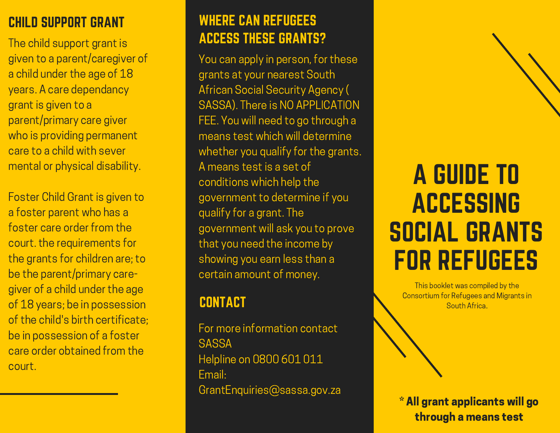The child support grant is given to a parent/caregiver of a child under the age of 18 years. A care dependancy grant is given to a parent/primary care giver who is providing permanent care to a child with sever mental or physical disability.

Foster Child Grant is given to a foster parent who has a foster care order from the court. the requirements for the grants for children are; to be the parent/primary caregiver of a child under the age of 18 years; be in possession of the child's birth certificate; be in possession of a foster care order obtained from the court.

# CHILD SUPPORT GRANT WHERE CAN REFUGEES ACCESS THESE GRANTS?

You can apply in person, for these grants at your nearest South African Social Security Agency ( SASSA). There is NO APPLICATION FEE. You will need to go through a means test which will determine whether you qualify for the grants. A means test is a set of conditions which help the government to determine if you qualify for a grant. The government will ask you to prove that you need the income by showing you earn less than a certain amount of money.

# **CONTACT**

For more information contact **SASSA** Helpline on 0800 601 011 Email: GrantEnquiries@sassa.gov.za

# A GUIDE TO ACCESSING SOCIAL GRANTS FOR REFUGEES

This booklet was compiled by the Consortium for Refugees and Migrants in South Africa.

\* All grant applicants will go through a means test